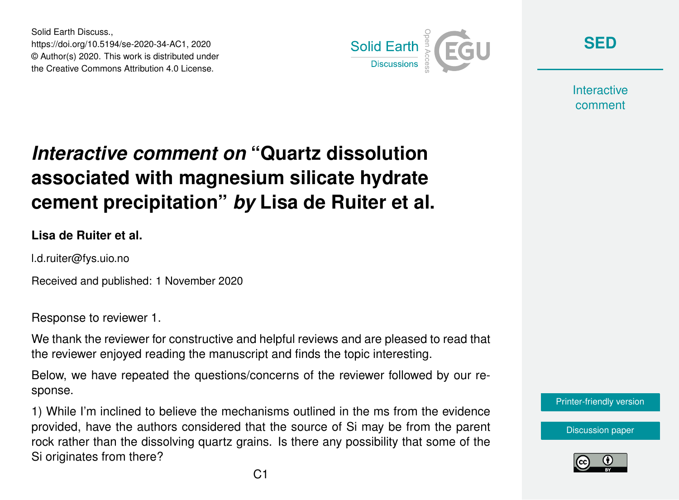Solid Earth Discuss., https://doi.org/10.5194/se-2020-34-AC1, 2020 © Author(s) 2020. This work is distributed under the Creative Commons Attribution 4.0 License.



**[SED](https://se.copernicus.org/preprints/)**

**Interactive** comment

## *Interactive comment on* **"Quartz dissolution associated with magnesium silicate hydrate cement precipitation"** *by* **Lisa de Ruiter et al.**

**Lisa de Ruiter et al.**

l.d.ruiter@fys.uio.no

Received and published: 1 November 2020

Response to reviewer 1.

We thank the reviewer for constructive and helpful reviews and are pleased to read that the reviewer enjoyed reading the manuscript and finds the topic interesting.

Below, we have repeated the questions/concerns of the reviewer followed by our response.

1) While I'm inclined to believe the mechanisms outlined in the ms from the evidence provided, have the authors considered that the source of Si may be from the parent rock rather than the dissolving quartz grains. Is there any possibility that some of the Si originates from there?

[Printer-friendly version](https://se.copernicus.org/preprints/se-2020-34/se-2020-34-AC1-print.pdf)

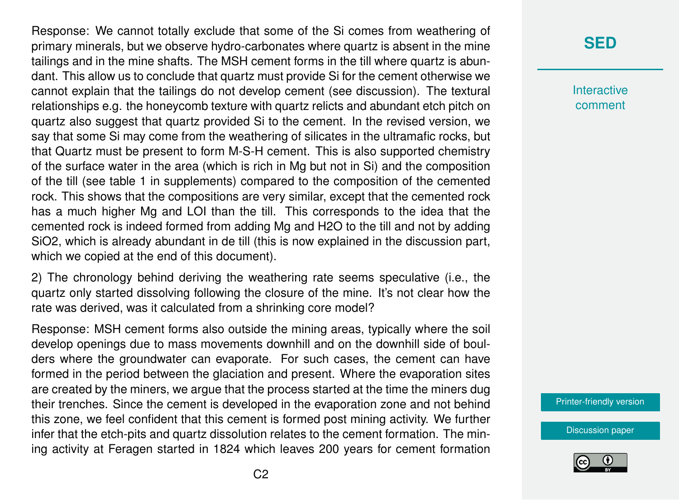Response: We cannot totally exclude that some of the Si comes from weathering of primary minerals, but we observe hydro-carbonates where quartz is absent in the mine tailings and in the mine shafts. The MSH cement forms in the till where quartz is abundant. This allow us to conclude that quartz must provide Si for the cement otherwise we cannot explain that the tailings do not develop cement (see discussion). The textural relationships e.g. the honeycomb texture with quartz relicts and abundant etch pitch on quartz also suggest that quartz provided Si to the cement. In the revised version, we say that some Si may come from the weathering of silicates in the ultramafic rocks, but that Quartz must be present to form M-S-H cement. This is also supported chemistry of the surface water in the area (which is rich in Mg but not in Si) and the composition of the till (see table 1 in supplements) compared to the composition of the cemented rock. This shows that the compositions are very similar, except that the cemented rock has a much higher Mg and LOI than the till. This corresponds to the idea that the cemented rock is indeed formed from adding Mg and H2O to the till and not by adding SiO2, which is already abundant in de till (this is now explained in the discussion part, which we copied at the end of this document).

2) The chronology behind deriving the weathering rate seems speculative (i.e., the quartz only started dissolving following the closure of the mine. It's not clear how the rate was derived, was it calculated from a shrinking core model?

Response: MSH cement forms also outside the mining areas, typically where the soil develop openings due to mass movements downhill and on the downhill side of boulders where the groundwater can evaporate. For such cases, the cement can have formed in the period between the glaciation and present. Where the evaporation sites are created by the miners, we argue that the process started at the time the miners dug their trenches. Since the cement is developed in the evaporation zone and not behind this zone, we feel confident that this cement is formed post mining activity. We further infer that the etch-pits and quartz dissolution relates to the cement formation. The mining activity at Feragen started in 1824 which leaves 200 years for cement formation

## **[SED](https://se.copernicus.org/preprints/)**

**Interactive** comment

[Printer-friendly version](https://se.copernicus.org/preprints/se-2020-34/se-2020-34-AC1-print.pdf)

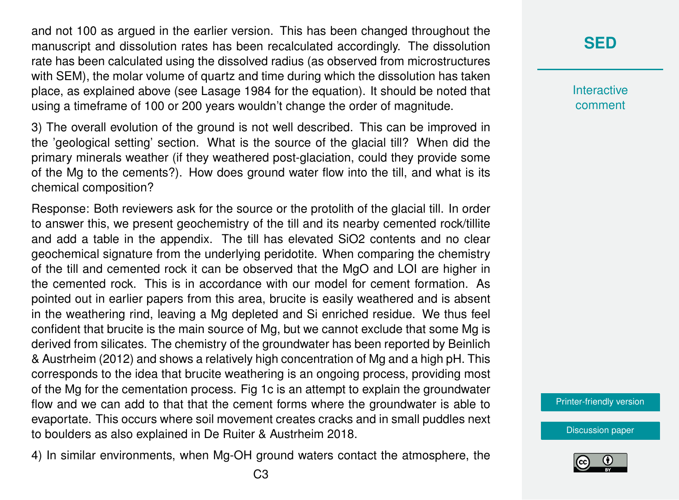and not 100 as argued in the earlier version. This has been changed throughout the manuscript and dissolution rates has been recalculated accordingly. The dissolution rate has been calculated using the dissolved radius (as observed from microstructures with SEM), the molar volume of quartz and time during which the dissolution has taken place, as explained above (see Lasage 1984 for the equation). It should be noted that using a timeframe of 100 or 200 years wouldn't change the order of magnitude.

3) The overall evolution of the ground is not well described. This can be improved in the 'geological setting' section. What is the source of the glacial till? When did the primary minerals weather (if they weathered post-glaciation, could they provide some of the Mg to the cements?). How does ground water flow into the till, and what is its chemical composition?

Response: Both reviewers ask for the source or the protolith of the glacial till. In order to answer this, we present geochemistry of the till and its nearby cemented rock/tillite and add a table in the appendix. The till has elevated SiO2 contents and no clear geochemical signature from the underlying peridotite. When comparing the chemistry of the till and cemented rock it can be observed that the MgO and LOI are higher in the cemented rock. This is in accordance with our model for cement formation. As pointed out in earlier papers from this area, brucite is easily weathered and is absent in the weathering rind, leaving a Mg depleted and Si enriched residue. We thus feel confident that brucite is the main source of Mg, but we cannot exclude that some Mg is derived from silicates. The chemistry of the groundwater has been reported by Beinlich & Austrheim (2012) and shows a relatively high concentration of Mg and a high pH. This corresponds to the idea that brucite weathering is an ongoing process, providing most of the Mg for the cementation process. Fig 1c is an attempt to explain the groundwater flow and we can add to that that the cement forms where the groundwater is able to evaportate. This occurs where soil movement creates cracks and in small puddles next to boulders as also explained in De Ruiter & Austrheim 2018.

4) In similar environments, when Mg-OH ground waters contact the atmosphere, the

**Interactive** comment

[Printer-friendly version](https://se.copernicus.org/preprints/se-2020-34/se-2020-34-AC1-print.pdf)

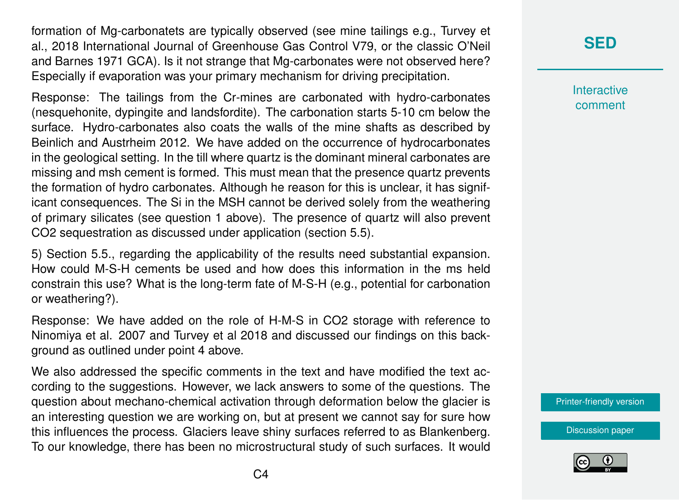formation of Mg-carbonatets are typically observed (see mine tailings e.g., Turvey et al., 2018 International Journal of Greenhouse Gas Control V79, or the classic O'Neil and Barnes 1971 GCA). Is it not strange that Mg-carbonates were not observed here? Especially if evaporation was your primary mechanism for driving precipitation.

Response: The tailings from the Cr-mines are carbonated with hydro-carbonates (nesquehonite, dypingite and landsfordite). The carbonation starts 5-10 cm below the surface. Hydro-carbonates also coats the walls of the mine shafts as described by Beinlich and Austrheim 2012. We have added on the occurrence of hydrocarbonates in the geological setting. In the till where quartz is the dominant mineral carbonates are missing and msh cement is formed. This must mean that the presence quartz prevents the formation of hydro carbonates. Although he reason for this is unclear, it has significant consequences. The Si in the MSH cannot be derived solely from the weathering of primary silicates (see question 1 above). The presence of quartz will also prevent CO2 sequestration as discussed under application (section 5.5).

5) Section 5.5., regarding the applicability of the results need substantial expansion. How could M-S-H cements be used and how does this information in the ms held constrain this use? What is the long-term fate of M-S-H (e.g., potential for carbonation or weathering?).

Response: We have added on the role of H-M-S in CO2 storage with reference to Ninomiya et al. 2007 and Turvey et al 2018 and discussed our findings on this background as outlined under point 4 above.

We also addressed the specific comments in the text and have modified the text according to the suggestions. However, we lack answers to some of the questions. The question about mechano-chemical activation through deformation below the glacier is an interesting question we are working on, but at present we cannot say for sure how this influences the process. Glaciers leave shiny surfaces referred to as Blankenberg. To our knowledge, there has been no microstructural study of such surfaces. It would

## **[SED](https://se.copernicus.org/preprints/)**

**Interactive** comment

[Printer-friendly version](https://se.copernicus.org/preprints/se-2020-34/se-2020-34-AC1-print.pdf)

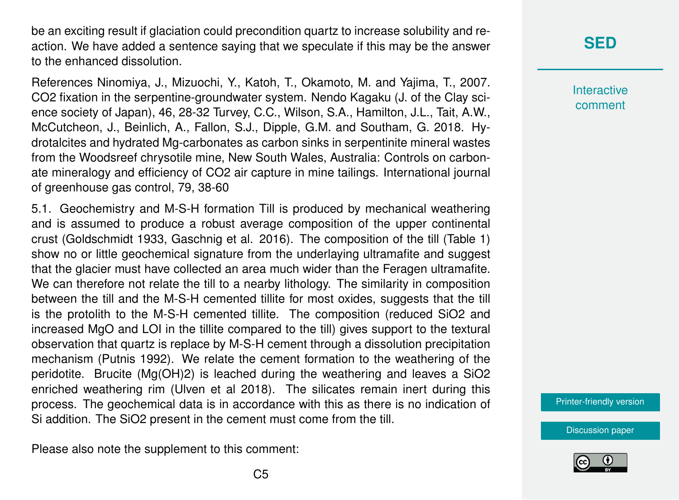be an exciting result if glaciation could precondition quartz to increase solubility and reaction. We have added a sentence saying that we speculate if this may be the answer to the enhanced dissolution.

References Ninomiya, J., Mizuochi, Y., Katoh, T., Okamoto, M. and Yajima, T., 2007. CO2 fixation in the serpentine-groundwater system. Nendo Kagaku (J. of the Clay science society of Japan), 46, 28-32 Turvey, C.C., Wilson, S.A., Hamilton, J.L., Tait, A.W., McCutcheon, J., Beinlich, A., Fallon, S.J., Dipple, G.M. and Southam, G. 2018. Hydrotalcites and hydrated Mg-carbonates as carbon sinks in serpentinite mineral wastes from the Woodsreef chrysotile mine, New South Wales, Australia: Controls on carbonate mineralogy and efficiency of CO2 air capture in mine tailings. International journal of greenhouse gas control, 79, 38-60

5.1. Geochemistry and M-S-H formation Till is produced by mechanical weathering and is assumed to produce a robust average composition of the upper continental crust (Goldschmidt 1933, Gaschnig et al. 2016). The composition of the till (Table 1) show no or little geochemical signature from the underlaying ultramafite and suggest that the glacier must have collected an area much wider than the Feragen ultramafite. We can therefore not relate the till to a nearby lithology. The similarity in composition between the till and the M-S-H cemented tillite for most oxides, suggests that the till is the protolith to the M-S-H cemented tillite. The composition (reduced SiO2 and increased MgO and LOI in the tillite compared to the till) gives support to the textural observation that quartz is replace by M-S-H cement through a dissolution precipitation mechanism (Putnis 1992). We relate the cement formation to the weathering of the peridotite. Brucite (Mg(OH)2) is leached during the weathering and leaves a SiO2 enriched weathering rim (Ulven et al 2018). The silicates remain inert during this process. The geochemical data is in accordance with this as there is no indication of Si addition. The SiO2 present in the cement must come from the till.

Please also note the supplement to this comment:

**[SED](https://se.copernicus.org/preprints/)**

**Interactive** comment

[Printer-friendly version](https://se.copernicus.org/preprints/se-2020-34/se-2020-34-AC1-print.pdf)